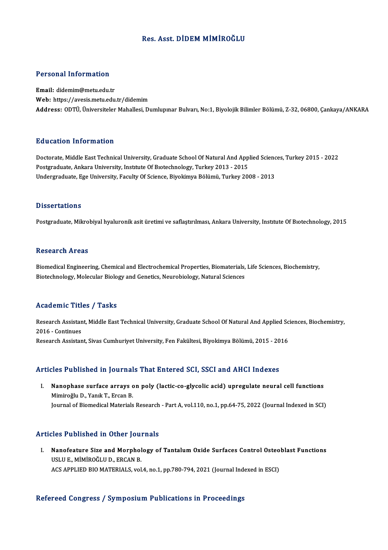## Res. Asst. DİDEM MİMİROĞLU

# Personal Information

Personal Information<br>Email: didemim@metu.edu.tr<br>Web: https://avesis.metu.edu. Email: didemim@metu.edu.tr<br>Web: https://avesis.metu.edu.tr/didemim Address: ODTÜ, Üniversiteler Mahallesi, Dumlupınar Bulvarı, No:1, Biyolojik Bilimler Bölümü, Z-32,06800, Çankaya/ANKARA

## Education Information

Doctorate, Middle East Technical University, Graduate School Of Natural And Applied Sciences, Turkey 2015 - 2022 Postgraduate, Ankara University, Institute Of Biotechnology, Turkey 2013 - 2015 Undergraduate, Ege University, Faculty Of Science, Biyokimya Bölümü, Turkey 2008 - 2013

## **Dissertations**

Postgraduate, Mikrobiyal hyaluronik asit üretimi ve saflaştırılması, Ankara University, Institute Of Bıotechnology, 2015

### **Research Areas**

Research Areas<br>Biomedical Engineering, Chemical and Electrochemical Properties, Biomaterials, Life Sciences, Biochemistry,<br>Biotechnology, Melecular Biology and Constiss, Naurobiology, Natural Sciences, 11000ar on 111 0as<br>Biomedical Engineering, Chemical and Electrochemical Properties, Biomaterials,<br>Biotechnology, Molecular Biology and Genetics, Neurobiology, Natural Sciences Biotechnology, Molecular Biology and Genetics, Neurobiology, Natural Sciences<br>Academic Titles / Tasks

Academic Titles / Tasks<br>Research Assistant, Middle East Technical University, Graduate School Of Natural And Applied Sciences, Biochemistry,<br>2016 - Continues Execution Press<br>Research Assistan<br>2016 - Continues<br>Research Assistan Research Assistant, Middle East Technical University, Graduate School Of Natural And Applied Sc<br>2016 - Continues<br>Research Assistant, Sivas Cumhuriyet University, Fen Fakültesi, Biyokimya Bölümü, 2015 - 2016 Research Assistant, Sivas Cumhuriyet University, Fen Fakültesi, Biyokimya Bölümü, 2015 - 2016<br>Articles Published in Journals That Entered SCI, SSCI and AHCI Indexes

rticles Published in Journals That Entered SCI, SSCI and AHCI Indexes<br>I. Nanophase surface arrays on poly (lactic-co-glycolic acid) upregulate neural cell functions<br>Miniroğlu D. Yank T. Ercan B Manophase surface arrays of a marketing and the Nanophase surface arrays of Mimiroğlu D., Yanık T., Ercan B. Mimiroğlu D., Yanık T., Ercan B.<br>Journal of Biomedical Materials Research - Part A, vol.110, no.1, pp.64-75, 2022 (Journal Indexed in SCI)

## Articles Published in Other Journals

rticles Published in Other Journals<br>I. Nanofeature Size and Morphology of Tantalum Oxide Surfaces Control Osteoblast Functions<br>LISLUE MIMPOČLUD ERCAN R Nanofeature Size and Morphol<br>USLU E., MİMİROĞLU D., ERCAN B.<br>ACS APPLIED PIO MATERIAL S. vol. Nanofeature Size and Morphology of Tantalum Oxide Surfaces Control Osteo<br>USLU E., MIMIROĞLU D., ERCAN B.<br>ACS APPLIED BIO MATERIALS, vol.4, no.1, pp.780-794, 2021 (Journal Indexed in ESCI) ACS APPLIED BIO MATERIALS, vol.4, no.1, pp.780-794, 2021 (Journal Indexed in ESCI)<br>Refereed Congress / Symposium Publications in Proceedings